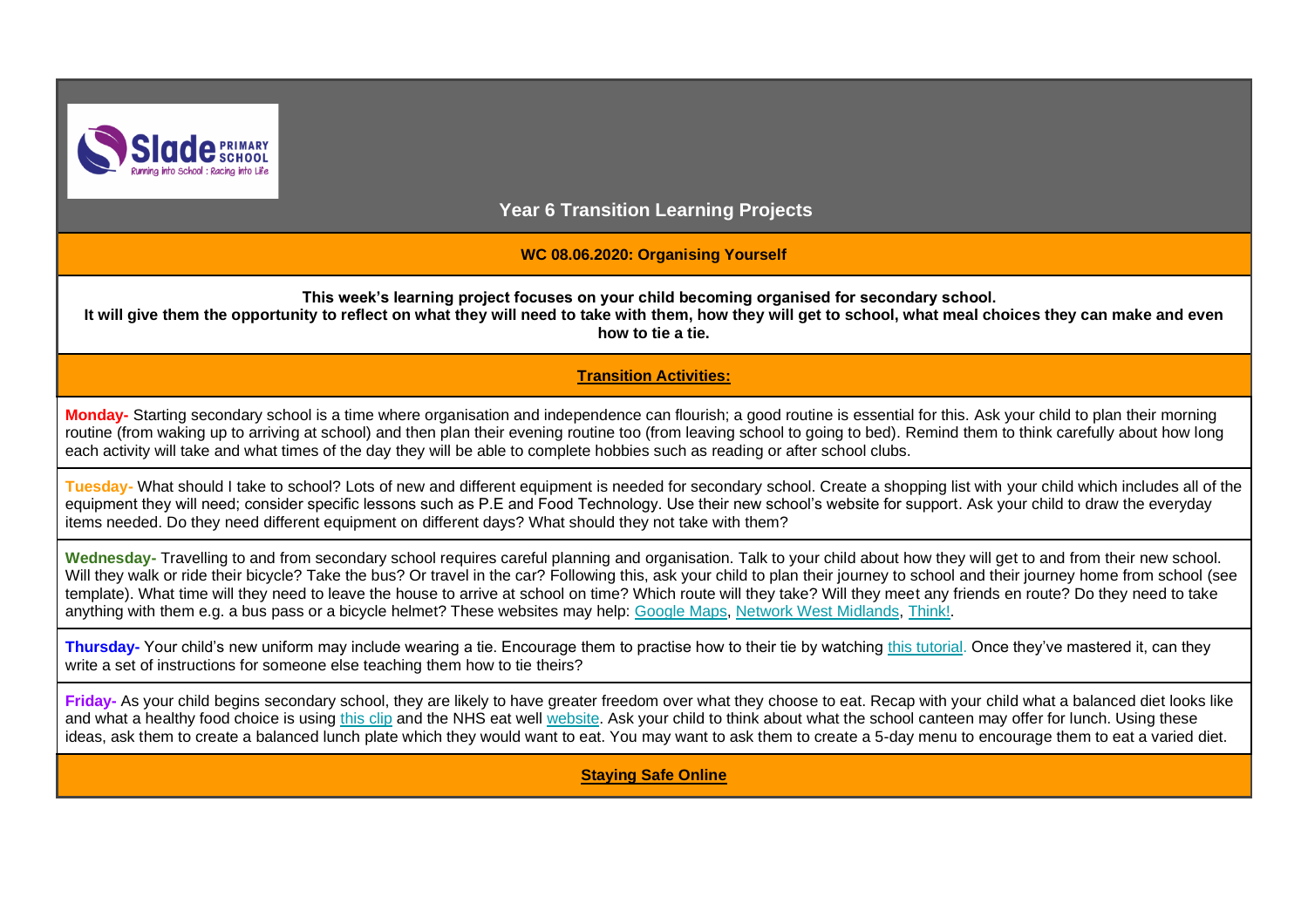

**Year 6 Transition Learning Projects**

**WC 08.06.2020: Organising Yourself**

**This week's learning project focuses on your child becoming organised for secondary school.** 

**It will give them the opportunity to reflect on what they will need to take with them, how they will get to school, what meal choices they can make and even how to tie a tie.**

## **Transition Activities:**

**Monday-** Starting secondary school is a time where organisation and independence can flourish; a good routine is essential for this. Ask your child to plan their morning routine (from waking up to arriving at school) and then plan their evening routine too (from leaving school to going to bed). Remind them to think carefully about how long each activity will take and what times of the day they will be able to complete hobbies such as reading or after school clubs.

**Tuesday-** What should I take to school? Lots of new and different equipment is needed for secondary school. Create a shopping list with your child which includes all of the equipment they will need; consider specific lessons such as P.E and Food Technology. Use their new school's website for support. Ask your child to draw the everyday items needed. Do they need different equipment on different days? What should they not take with them?

Wednesday- Travelling to and from secondary school requires careful planning and organisation. Talk to your child about how they will get to and from their new school. Will they walk or ride their bicycle? Take the bus? Or travel in the car? Following this, ask your child to plan their journey to school and their journey home from school (see template). What time will they need to leave the house to arrive at school on time? Which route will they take? Will they meet any friends en route? Do they need to take anything with them e.g. a bus pass or a bicycle helmet? These websites may help: [Google Maps,](https://www.google.co.uk/maps/) [Network West Midlands,](https://www.networkwestmidlands.com/) [Think!.](https://www.think.gov.uk/cycle-safety/)

**Thursday-** Your child's new uniform may include wearing a tie. Encourage them to practise how to their tie by watching [this tutorial.](https://safeyoutube.net/w/IxID) Once they've mastered it, can they write a set of instructions for someone else teaching them how to tie theirs?

**Friday-** As your child begins secondary school, they are likely to have greater freedom over what they choose to eat. Recap with your child what a balanced diet looks like and what a healthy food choice is using [this clip](https://www.bbc.co.uk/bitesize/topics/zf339j6/articles/zmwvgdm) and the NHS eat well [website.](https://www.nhs.uk/live-well/eat-well/the-eatwell-guide/) Ask your child to think about what the school canteen may offer for lunch. Using these ideas, ask them to create a balanced lunch plate which they would want to eat. You may want to ask them to create a 5-day menu to encourage them to eat a varied diet.

**Staying Safe Online**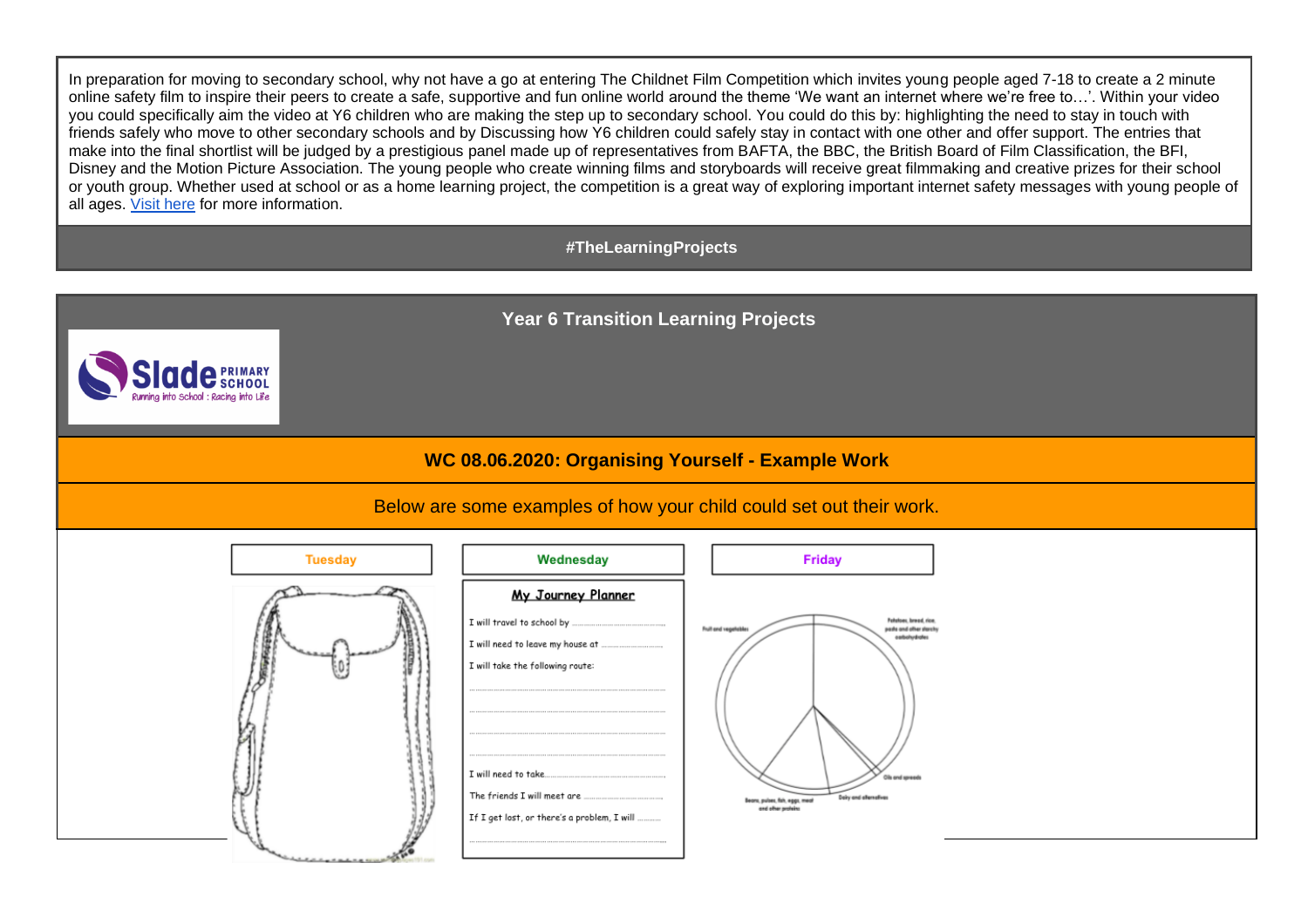In preparation for moving to secondary school, why not have a go at entering The Childnet Film Competition which invites young people aged 7-18 to create a 2 minute online safety film to inspire their peers to create a safe, supportive and fun online world around the theme 'We want an internet where we're free to…'. Within your video you could specifically aim the video at Y6 children who are making the step up to secondary school. You could do this by: highlighting the need to stay in touch with friends safely who move to other secondary schools and by Discussing how Y6 children could safely stay in contact with one other and offer support. The entries that make into the final shortlist will be judged by a prestigious panel made up of representatives from BAFTA, the BBC, the British Board of Film Classification, the BFI, Disney and the Motion Picture Association. The young people who create winning films and storyboards will receive great filmmaking and creative prizes for their school or youth group. Whether used at school or as a home learning project, the competition is a great way of exploring important internet safety messages with young people of all ages. [Visit here](http://www.childnet.com/filmcomp) for more information.

## **#TheLearningProjects**

**Year 6 Transition Learning Projects**



## Below are some examples of how your child could set out their work.

| <b>Tuesday</b>  | Wednesday                                                                                                                           | <b>Friday</b>                                                                                                                                                                                     |
|-----------------|-------------------------------------------------------------------------------------------------------------------------------------|---------------------------------------------------------------------------------------------------------------------------------------------------------------------------------------------------|
| <b>LataLtes</b> | <u>My Journey Planner</u><br>I will take the following route:<br>I will need to take<br>If I get lost, or there's a problem, I will | Felstons, broad, rice.<br>Fruit and vegetables<br>pasts and other starchy<br>oarbohydrofes<br>Oils and spreads<br>Delry and allers afres<br>Bears, pulses, fish, eggs, meal<br>and other profeins |